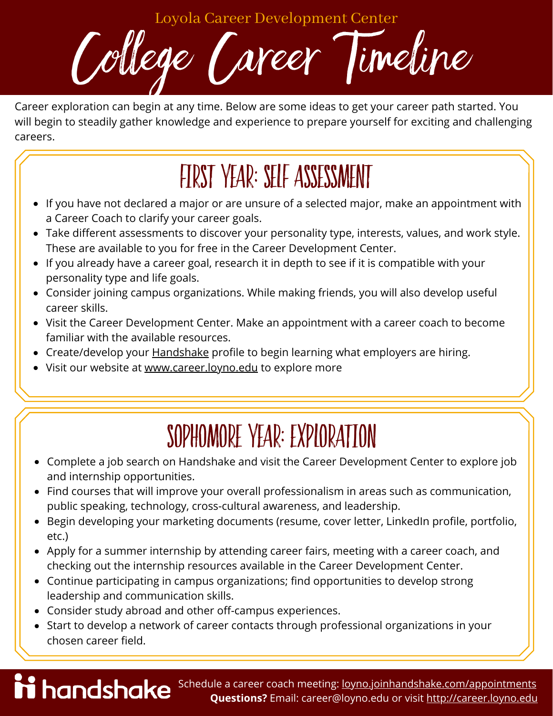Loyola Career Development Center

College Career Timeline

Career exploration can begin at any time. Below are some ideas to get your career path started. You will begin to steadily gather knowledge and experience to prepare yourself for exciting and challenging careers.

#### first year: self assessment

- If you have not declared a major or are unsure of a selected major, make an appointment with a Career Coach to clarify your career goals.
- Take different assessments to discover your personality type, interests, values, and work style. These are available to you for free in the Career Development Center.
- If you already have a career goal, research it in depth to see if it is compatible with your personality type and life goals.
- Consider joining campus organizations. While making friends, you will also develop useful career skills.
- Visit the Career Development Center. Make an appointment with a career coach to become familiar with the available resources.
- Create/develop your **Handshake** profile to begin learning what employers are hiring.
- Visit our website at [www.career.loyno.edu](https://career.loyno.edu/) to explore more

### sophomore year: exploration

- Complete a job search on Handshake and visit the Career Development Center to explore job and internship opportunities.
- Find courses that will improve your overall professionalism in areas such as communication, public speaking, technology, cross-cultural awareness, and leadership.
- Begin developing your marketing documents (resume, cover letter, LinkedIn profile, portfolio, etc.)
- Apply for a summer internship by attending career fairs, meeting with a career coach, and checking out the internship resources available in the Career Development Center.
- Continue participating in campus organizations; find opportunities to develop strong leadership and communication skills.
- Consider study abroad and other off-campus experiences.
- Start to develop a network of career contacts through professional organizations in your chosen career field.

**Schedule a career coach meeting:** [loyno.joinhandshake.com/appointments](http://loyno.joinhandshake.com/appointments) **Questions?** Email: career@loyno.edu or visit [http://career.loyno.edu](http://career.loyno.edu/)